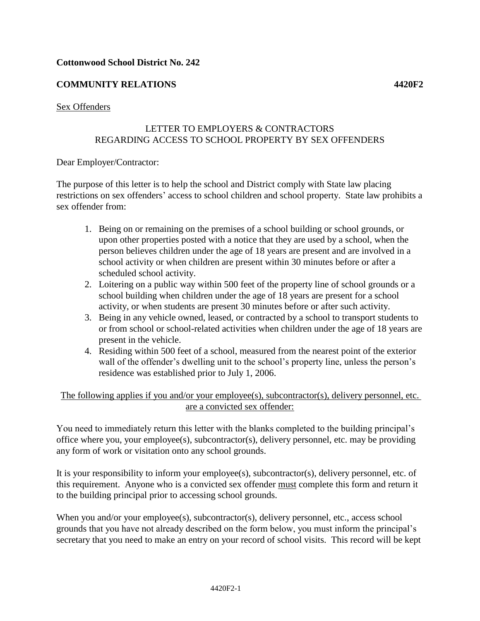# **COMMUNITY RELATIONS 4420F2**

#### Sex Offenders

# LETTER TO EMPLOYERS & CONTRACTORS REGARDING ACCESS TO SCHOOL PROPERTY BY SEX OFFENDERS

#### Dear Employer/Contractor:

The purpose of this letter is to help the school and District comply with State law placing restrictions on sex offenders' access to school children and school property. State law prohibits a sex offender from:

- 1. Being on or remaining on the premises of a school building or school grounds, or upon other properties posted with a notice that they are used by a school, when the person believes children under the age of 18 years are present and are involved in a school activity or when children are present within 30 minutes before or after a scheduled school activity.
- 2. Loitering on a public way within 500 feet of the property line of school grounds or a school building when children under the age of 18 years are present for a school activity, or when students are present 30 minutes before or after such activity.
- 3. Being in any vehicle owned, leased, or contracted by a school to transport students to or from school or school-related activities when children under the age of 18 years are present in the vehicle.
- 4. Residing within 500 feet of a school, measured from the nearest point of the exterior wall of the offender's dwelling unit to the school's property line, unless the person's residence was established prior to July 1, 2006.

#### The following applies if you and/or your employee(s), subcontractor(s), delivery personnel, etc. are a convicted sex offender:

You need to immediately return this letter with the blanks completed to the building principal's office where you, your employee(s), subcontractor(s), delivery personnel, etc. may be providing any form of work or visitation onto any school grounds.

It is your responsibility to inform your employee(s), subcontractor(s), delivery personnel, etc. of this requirement. Anyone who is a convicted sex offender must complete this form and return it to the building principal prior to accessing school grounds.

When you and/or your employee(s), subcontractor(s), delivery personnel, etc., access school grounds that you have not already described on the form below, you must inform the principal's secretary that you need to make an entry on your record of school visits. This record will be kept